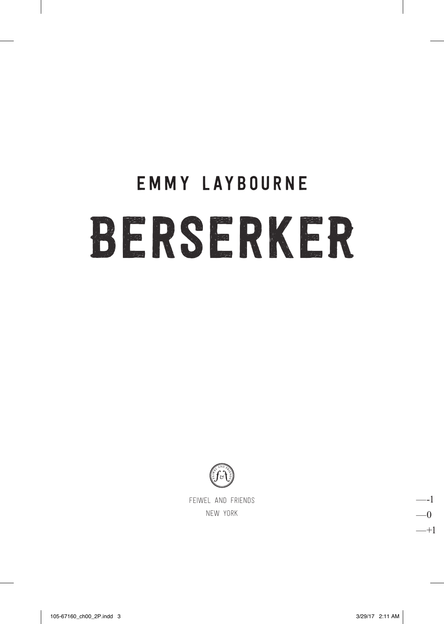# Emmy Laybourne BERSERKER



Feiwel and Friends New York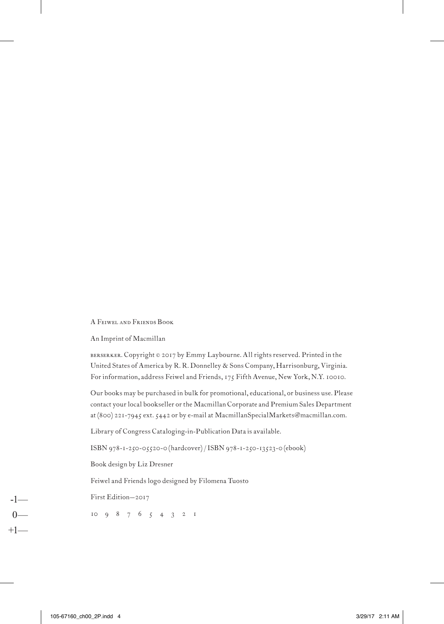A Feiwel and Friends Book

An Imprint of Macmillan

berserker. Copyright © 2017 by Emmy Laybourne. All rights reserved. Printed in the United States of America by R. R. Donnelley & Sons Company, Harrisonburg, Virginia. For information, address Feiwel and Friends, 175 Fifth Avenue, New York, N.Y. 10010.

Our books may be purchased in bulk for promotional, educational, or business use. Please contact your local bookseller or the Macmillan Corporate and Premium Sales Department at (800) 221-7945 ext. 5442 or by e-mail at MacmillanSpecialMarkets@macmillan.com.

Library of Congress Cataloging-in-Publication Data is available.

ISBN 978-1-250-05520-0 (hardcover) / ISBN 978-1-250-13523-0 (ebook)

Book design by Liz Dresner

Feiwel and Friends logo designed by Filomena Tuosto

First Edition—2017

10 9 8 7 6 5 4 3 2 1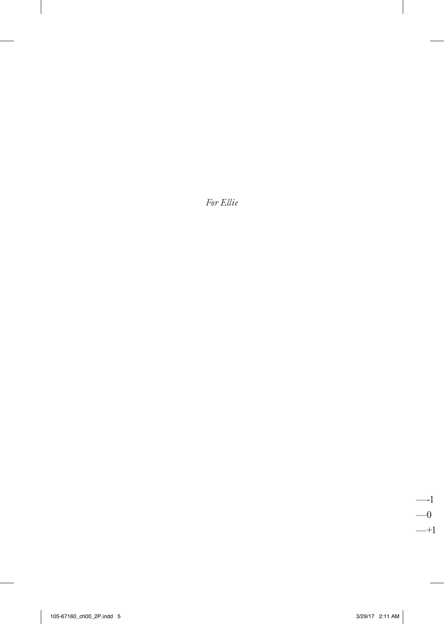*For Ellie*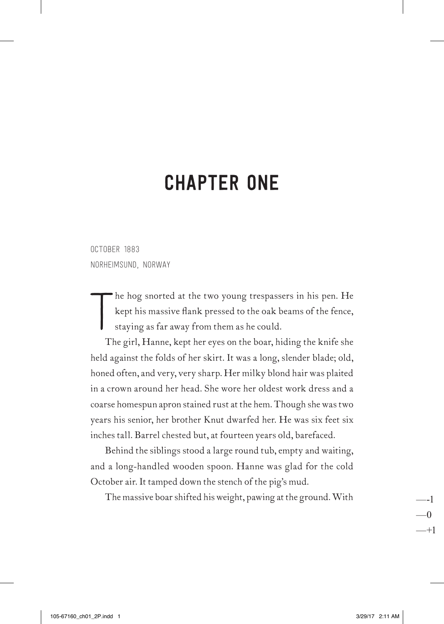## CHAPTER ONE

October 1883 Norheimsund, Norway

 $\prod_{\mathrm{m}}$ he hog snorted at the two young trespassers in his pen. He kept his massive flank pressed to the oak beams of the fence, staying as far away from them as he could.

The girl, Hanne, kept her eyes on the boar, hiding the knife she held against the folds of her skirt. It was a long, slender blade; old, honed often, and very, very sharp. Her milky blond hair was plaited in a crown around her head. She wore her oldest work dress and a coarse homespun apron stained rust at the hem. Though she was two years his senior, her brother Knut dwarfed her. He was six feet six inches tall. Barrel chested but, at fourteen years old, barefaced.

Behind the siblings stood a large round tub, empty and waiting, and a long-handled wooden spoon. Hanne was glad for the cold October air. It tamped down the stench of the pig's mud.

The massive boar shifted his weight, pawing at the ground. With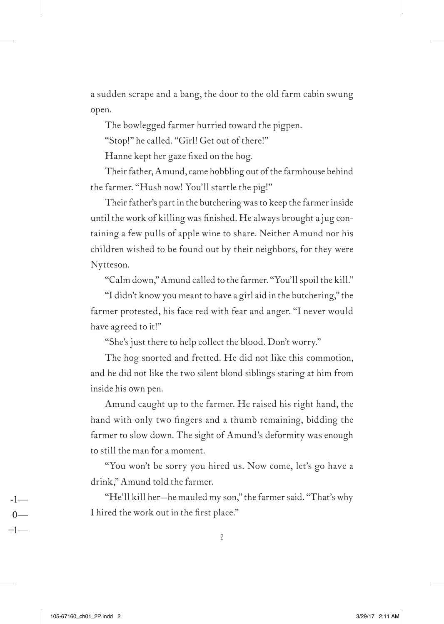a sudden scrape and a bang, the door to the old farm cabin swung open.

The bowlegged farmer hurried toward the pigpen.

"Stop!" he called. "Girl! Get out of there!"

Hanne kept her gaze fixed on the hog.

Their father, Amund, came hobbling out of the farmhouse behind the farmer. "Hush now! You'll startle the pig!"

Their father's part in the butchering was to keep the farmer inside until the work of killing was finished. He always brought a jug containing a few pulls of apple wine to share. Neither Amund nor his children wished to be found out by their neighbors, for they were Nytteson.

"Calm down," Amund called to the farmer. "You'll spoil the kill."

"I didn't know you meant to have a girl aid in the butchering," the farmer protested, his face red with fear and anger. "I never would have agreed to it!"

"She's just there to help collect the blood. Don't worry."

The hog snorted and fretted. He did not like this commotion, and he did not like the two silent blond siblings staring at him from inside his own pen.

Amund caught up to the farmer. He raised his right hand, the hand with only two fingers and a thumb remaining, bidding the farmer to slow down. The sight of Amund's deformity was enough to still the man for a moment.

"You won't be sorry you hired us. Now come, let's go have a drink," Amund told the farmer.

"He'll kill her—he mauled my son," the farmer said. "That's why I hired the work out in the first place."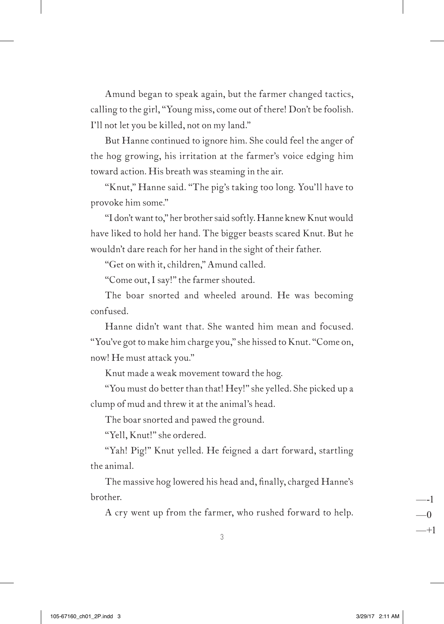Amund began to speak again, but the farmer changed tactics, calling to the girl, "Young miss, come out of there! Don't be foolish. I'll not let you be killed, not on my land."

But Hanne continued to ignore him. She could feel the anger of the hog growing, his irritation at the farmer's voice edging him toward action. His breath was steaming in the air.

"Knut," Hanne said. "The pig's taking too long. You'll have to provoke him some."

"I don't want to," her brother said softly. Hanne knew Knut would have liked to hold her hand. The bigger beasts scared Knut. But he wouldn't dare reach for her hand in the sight of their father.

"Get on with it, children," Amund called.

"Come out, I say!" the farmer shouted.

The boar snorted and wheeled around. He was becoming confused.

Hanne didn't want that. She wanted him mean and focused. "You've got to make him charge you," she hissed to Knut. "Come on, now! He must attack you."

Knut made a weak movement toward the hog.

"You must do better than that! Hey!" she yelled. She picked up a clump of mud and threw it at the animal's head.

The boar snorted and pawed the ground.

"Yell, Knut!" she ordered.

"Yah! Pig!" Knut yelled. He feigned a dart forward, startling the animal.

The massive hog lowered his head and, finally, charged Hanne's brother.

A cry went up from the farmer, who rushed forward to help.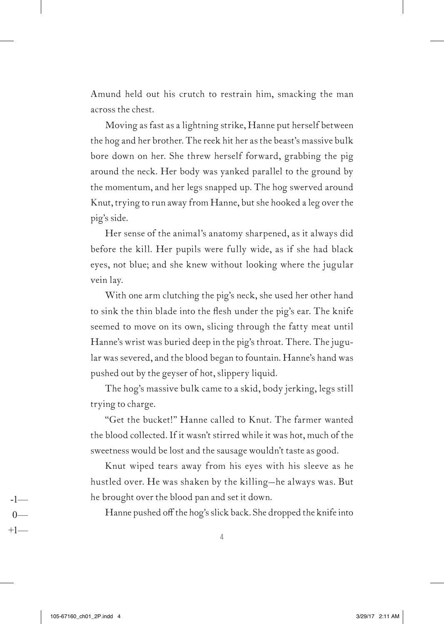Amund held out his crutch to restrain him, smacking the man across the chest.

Moving as fast as a lightning strike, Hanne put herself between the hog and her brother. The reek hit her as the beast's massive bulk bore down on her. She threw herself forward, grabbing the pig around the neck. Her body was yanked parallel to the ground by the momentum, and her legs snapped up. The hog swerved around Knut, trying to run away from Hanne, but she hooked a leg over the pig's side.

Her sense of the animal's anatomy sharpened, as it always did before the kill. Her pupils were fully wide, as if she had black eyes, not blue; and she knew without looking where the jugular vein lay.

With one arm clutching the pig's neck, she used her other hand to sink the thin blade into the flesh under the pig's ear. The knife seemed to move on its own, slicing through the fatty meat until Hanne's wrist was buried deep in the pig's throat. There. The jugular was severed, and the blood began to fountain. Hanne's hand was pushed out by the geyser of hot, slippery liquid.

The hog's massive bulk came to a skid, body jerking, legs still trying to charge.

"Get the bucket!" Hanne called to Knut. The farmer wanted the blood collected. If it wasn't stirred while it was hot, much of the sweetness would be lost and the sausage wouldn't taste as good.

Knut wiped tears away from his eyes with his sleeve as he hustled over. He was shaken by the killing—he always was. But he brought over the blood pan and set it down.

Hanne pushed off the hog's slick back. She dropped the knife into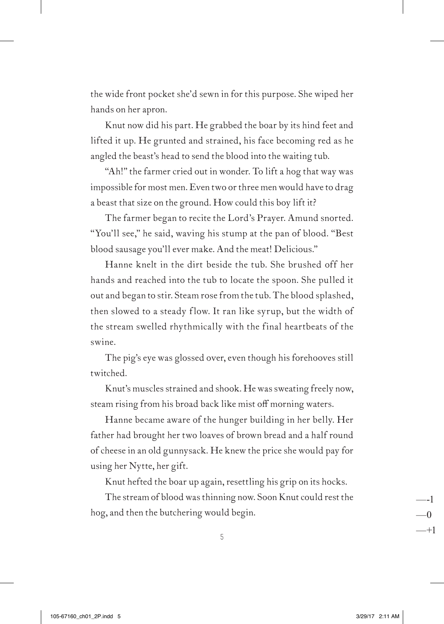the wide front pocket she'd sewn in for this purpose. She wiped her hands on her apron.

Knut now did his part. He grabbed the boar by its hind feet and lifted it up. He grunted and strained, his face becoming red as he angled the beast's head to send the blood into the waiting tub.

"Ah!" the farmer cried out in wonder. To lift a hog that way was impossible for most men. Even two or three men would have to drag a beast that size on the ground. How could this boy lift it?

The farmer began to recite the Lord's Prayer. Amund snorted. "You'll see," he said, waving his stump at the pan of blood. "Best blood sausage you'll ever make. And the meat! Delicious."

Hanne knelt in the dirt beside the tub. She brushed off her hands and reached into the tub to locate the spoon. She pulled it out and began to stir. Steam rose from the tub. The blood splashed, then slowed to a steady flow. It ran like syrup, but the width of the stream swelled rhythmically with the final heartbeats of the swine.

The pig's eye was glossed over, even though his forehooves still twitched.

Knut's muscles strained and shook. He was sweating freely now, steam rising from his broad back like mist off morning waters.

Hanne became aware of the hunger building in her belly. Her father had brought her two loaves of brown bread and a half round of cheese in an old gunnysack. He knew the price she would pay for using her Nytte, her gift.

Knut hefted the boar up again, resettling his grip on its hocks.

The stream of blood was thinning now. Soon Knut could rest the hog, and then the butchering would begin.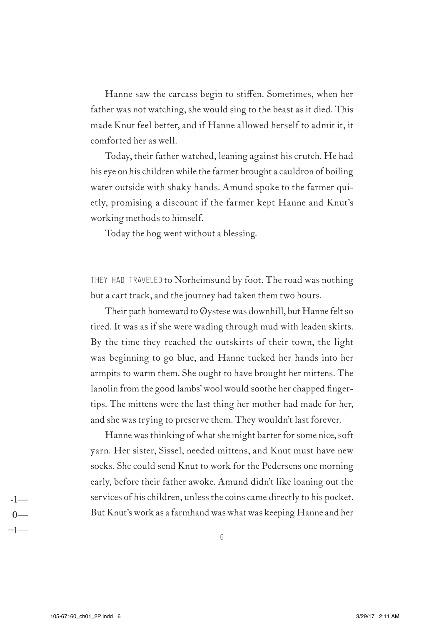Hanne saw the carcass begin to stiffen. Sometimes, when her father was not watching, she would sing to the beast as it died. This made Knut feel better, and if Hanne allowed herself to admit it, it comforted her as well.

Today, their father watched, leaning against his crutch. He had his eye on his children while the farmer brought a cauldron of boiling water outside with shaky hands. Amund spoke to the farmer quietly, promising a discount if the farmer kept Hanne and Knut's working methods to himself.

Today the hog went without a blessing.

THEY HAD TRAVELED to Norheimsund by foot. The road was nothing but a cart track, and the journey had taken them two hours.

Their path homeward to Øystese was downhill, but Hanne felt so tired. It was as if she were wading through mud with leaden skirts. By the time they reached the outskirts of their town, the light was beginning to go blue, and Hanne tucked her hands into her armpits to warm them. She ought to have brought her mittens. The lanolin from the good lambs' wool would soothe her chapped fingertips. The mittens were the last thing her mother had made for her, and she was trying to preserve them. They wouldn't last forever.

Hanne was thinking of what she might barter for some nice, soft yarn. Her sister, Sissel, needed mittens, and Knut must have new socks. She could send Knut to work for the Pedersens one morning early, before their father awoke. Amund didn't like loaning out the services of his children, unless the coins came directly to his pocket. But Knut's work as a farmhand was what was keeping Hanne and her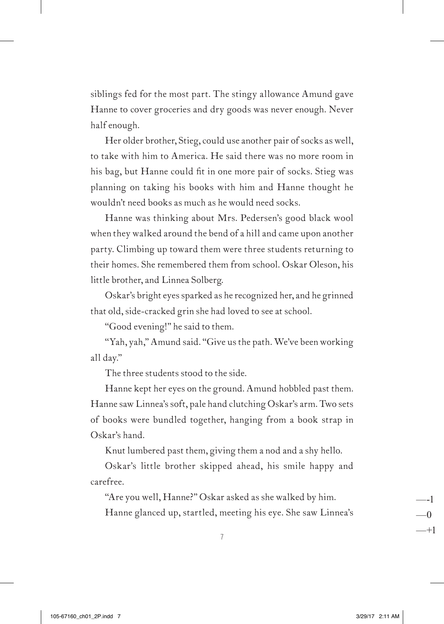siblings fed for the most part. The stingy allowance Amund gave Hanne to cover groceries and dry goods was never enough. Never half enough.

Her older brother, Stieg, could use another pair of socks as well, to take with him to America. He said there was no more room in his bag, but Hanne could fit in one more pair of socks. Stieg was planning on taking his books with him and Hanne thought he wouldn't need books as much as he would need socks.

Hanne was thinking about Mrs. Pedersen's good black wool when they walked around the bend of a hill and came upon another party. Climbing up toward them were three students returning to their homes. She remembered them from school. Oskar Oleson, his little brother, and Linnea Solberg.

Oskar's bright eyes sparked as he recognized her, and he grinned that old, side-cracked grin she had loved to see at school.

"Good evening!" he said to them.

"Yah, yah," Amund said. "Give us the path. We've been working all day."

The three students stood to the side.

Hanne kept her eyes on the ground. Amund hobbled past them. Hanne saw Linnea's soft, pale hand clutching Oskar's arm. Two sets of books were bundled together, hanging from a book strap in Oskar's hand.

Knut lumbered past them, giving them a nod and a shy hello.

Oskar's little brother skipped ahead, his smile happy and carefree.

"Are you well, Hanne?" Oskar asked as she walked by him.

Hanne glanced up, startled, meeting his eye. She saw Linnea's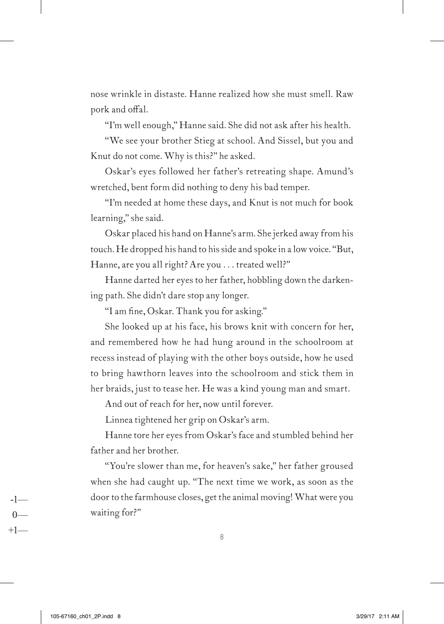nose wrinkle in distaste. Hanne realized how she must smell. Raw pork and offal.

"I'm well enough," Hanne said. She did not ask after his health.

"We see your brother Stieg at school. And Sissel, but you and Knut do not come. Why is this?" he asked.

Oskar's eyes followed her father's retreating shape. Amund's wretched, bent form did nothing to deny his bad temper.

"I'm needed at home these days, and Knut is not much for book learning," she said.

Oskar placed his hand on Hanne's arm. She jerked away from his touch. He dropped his hand to his side and spoke in a low voice. "But, Hanne, are you all right? Are you . . . treated well?"

Hanne darted her eyes to her father, hobbling down the darkening path. She didn't dare stop any longer.

"I am fine, Oskar. Thank you for asking."

She looked up at his face, his brows knit with concern for her, and remembered how he had hung around in the schoolroom at recess instead of playing with the other boys outside, how he used to bring hawthorn leaves into the schoolroom and stick them in her braids, just to tease her. He was a kind young man and smart.

And out of reach for her, now until forever.

Linnea tightened her grip on Oskar's arm.

Hanne tore her eyes from Oskar's face and stumbled behind her father and her brother.

"You're slower than me, for heaven's sake," her father groused when she had caught up. "The next time we work, as soon as the door to the farmhouse closes, get the animal moving! What were you waiting for?"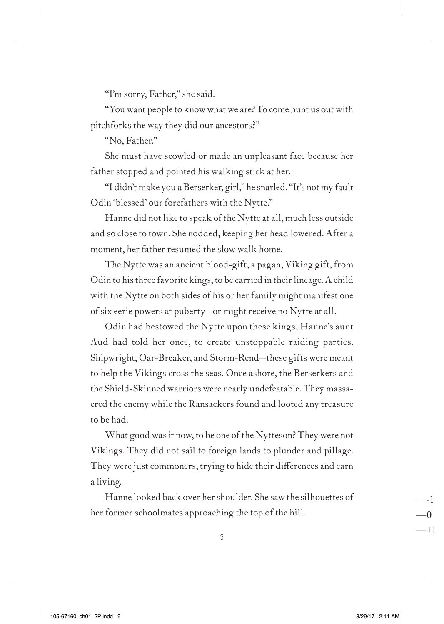"I'm sorry, Father," she said.

"You want people to know what we are? To come hunt us out with pitchforks the way they did our ancestors?"

"No, Father."

She must have scowled or made an unpleasant face because her father stopped and pointed his walking stick at her.

"I didn't make you a Berserker, girl," he snarled. "It's not my fault Odin 'blessed' our forefathers with the Nytte."

Hanne did not like to speak of the Nytte at all, much less outside and so close to town. She nodded, keeping her head lowered. After a moment, her father resumed the slow walk home.

The Nytte was an ancient blood-gift, a pagan, Viking gift, from Odin to his three favorite kings, to be carried in their lineage. A child with the Nytte on both sides of his or her family might manifest one of six eerie powers at puberty—or might receive no Nytte at all.

Odin had bestowed the Nytte upon these kings, Hanne's aunt Aud had told her once, to create unstoppable raiding parties. Shipwright, Oar-Breaker, and Storm-Rend—these gifts were meant to help the Vikings cross the seas. Once ashore, the Berserkers and the Shield-Skinned warriors were nearly undefeatable. They massacred the enemy while the Ransackers found and looted any treasure to be had.

What good was it now, to be one of the Nytteson? They were not Vikings. They did not sail to foreign lands to plunder and pillage. They were just commoners, trying to hide their differences and earn a living.

Hanne looked back over her shoulder. She saw the silhouettes of her former schoolmates approaching the top of the hill.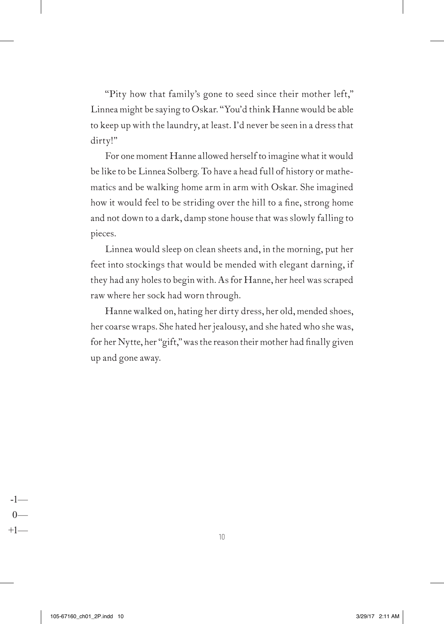"Pity how that family's gone to seed since their mother left," Linnea might be saying to Oskar. "You'd think Hanne would be able to keep up with the laundry, at least. I'd never be seen in a dress that dirty!"

For one moment Hanne allowed herself to imagine what it would be like to be Linnea Solberg. To have a head full of history or mathematics and be walking home arm in arm with Oskar. She imagined how it would feel to be striding over the hill to a fine, strong home and not down to a dark, damp stone house that was slowly falling to pieces.

Linnea would sleep on clean sheets and, in the morning, put her feet into stockings that would be mended with elegant darning, if they had any holes to begin with. As for Hanne, her heel was scraped raw where her sock had worn through.

Hanne walked on, hating her dirty dress, her old, mended shoes, her coarse wraps. She hated her jealousy, and she hated who she was, for her Nytte, her "gift," was the reason their mother had finally given up and gone away.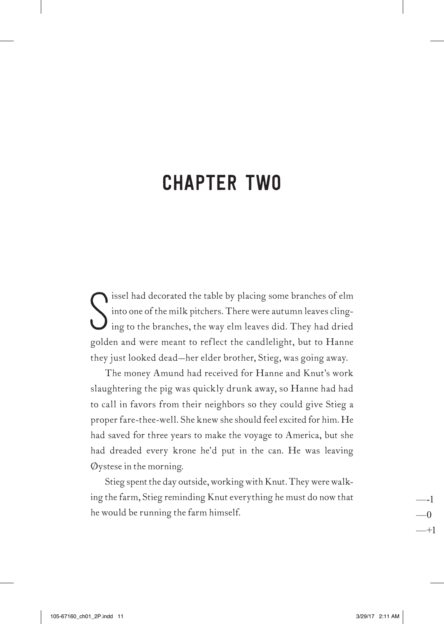#### CHAPTER TWO

S issel had decorated the table by placing some branches of elm into one of the milk pitchers. There were autumn leaves clinging to the branches, the way elm leaves did. They had dried golden and were meant to reflect the candlelight, but to Hanne they just looked dead—her elder brother, Stieg, was going away.

The money Amund had received for Hanne and Knut's work slaughtering the pig was quickly drunk away, so Hanne had had to call in favors from their neighbors so they could give Stieg a proper fare-thee-well. She knew she should feel excited for him. He had saved for three years to make the voyage to America, but she had dreaded every krone he'd put in the can. He was leaving Øystese in the morning.

Stieg spent the day outside, working with Knut. They were walking the farm, Stieg reminding Knut everything he must do now that he would be running the farm himself.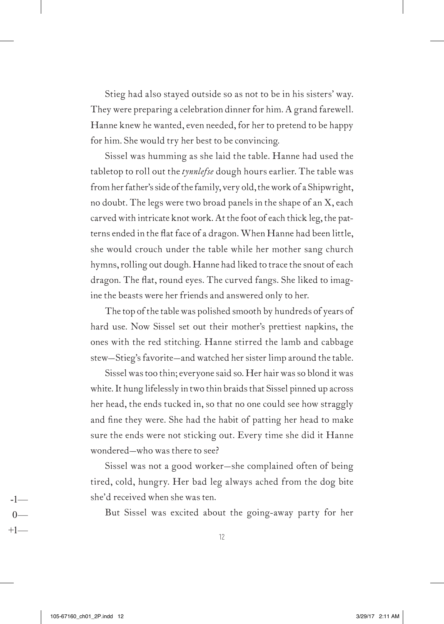Stieg had also stayed outside so as not to be in his sisters' way. They were preparing a celebration dinner for him. A grand farewell. Hanne knew he wanted, even needed, for her to pretend to be happy for him. She would try her best to be convincing.

Sissel was humming as she laid the table. Hanne had used the tabletop to roll out the *tynnlefse* dough hours earlier. The table was from her father's side of the family, very old, the work of a Shipwright, no doubt. The legs were two broad panels in the shape of an X, each carved with intricate knot work. At the foot of each thick leg, the patterns ended in the flat face of a dragon. When Hanne had been little, she would crouch under the table while her mother sang church hymns, rolling out dough. Hanne had liked to trace the snout of each dragon. The flat, round eyes. The curved fangs. She liked to imagine the beasts were her friends and answered only to her.

The top of the table was polished smooth by hundreds of years of hard use. Now Sissel set out their mother's prettiest napkins, the ones with the red stitching. Hanne stirred the lamb and cabbage stew—Stieg's favorite—and watched her sister limp around the table.

Sissel was too thin; everyone said so. Her hair was so blond it was white. It hung lifelessly in two thin braids that Sissel pinned up across her head, the ends tucked in, so that no one could see how straggly and fine they were. She had the habit of patting her head to make sure the ends were not sticking out. Every time she did it Hanne wondered—who was there to see?

Sissel was not a good worker—she complained often of being tired, cold, hungry. Her bad leg always ached from the dog bite she'd received when she was ten.

But Sissel was excited about the going-away party for her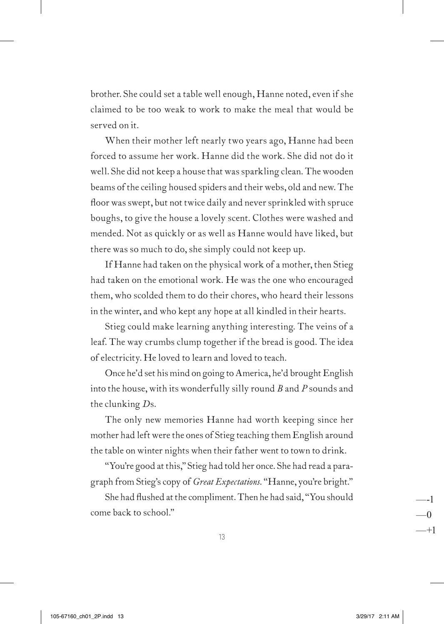brother. She could set a table well enough, Hanne noted, even if she claimed to be too weak to work to make the meal that would be served on it.

When their mother left nearly two years ago, Hanne had been forced to assume her work. Hanne did the work. She did not do it well. She did not keep a house that was sparkling clean. The wooden beams of the ceiling housed spiders and their webs, old and new. The floor was swept, but not twice daily and never sprinkled with spruce boughs, to give the house a lovely scent. Clothes were washed and mended. Not as quickly or as well as Hanne would have liked, but there was so much to do, she simply could not keep up.

If Hanne had taken on the physical work of a mother, then Stieg had taken on the emotional work. He was the one who encouraged them, who scolded them to do their chores, who heard their lessons in the winter, and who kept any hope at all kindled in their hearts.

Stieg could make learning anything interesting. The veins of a leaf. The way crumbs clump together if the bread is good. The idea of electricity. He loved to learn and loved to teach.

Once he'd set his mind on going to America, he'd brought English into the house, with its wonderfully silly round *B* and *P* sounds and the clunking *D*s.

The only new memories Hanne had worth keeping since her mother had left were the ones of Stieg teaching them English around the table on winter nights when their father went to town to drink.

"You're good at this," Stieg had told her once. She had read a paragraph from Stieg's copy of *Great Expectations*. "Hanne, you're bright."

She had flushed at the compliment. Then he had said, "You should come back to school."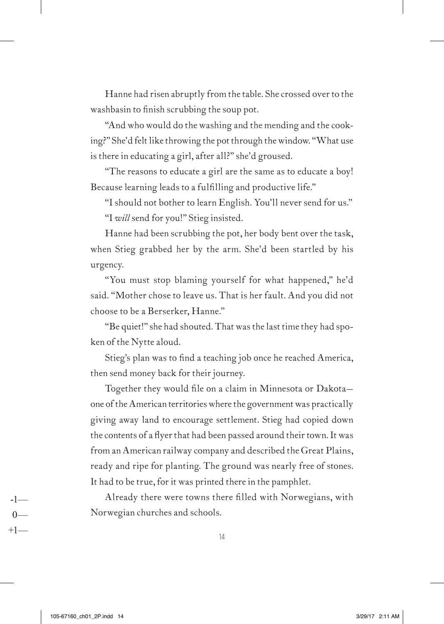Hanne had risen abruptly from the table. She crossed over to the washbasin to finish scrubbing the soup pot.

"And who would do the washing and the mending and the cooking?" She'd felt like throwing the pot through the window. "What use is there in educating a girl, after all?" she'd groused.

"The reasons to educate a girl are the same as to educate a boy! Because learning leads to a fulfilling and productive life."

"I should not bother to learn English. You'll never send for us."

"I *will* send for you!" Stieg insisted.

Hanne had been scrubbing the pot, her body bent over the task, when Stieg grabbed her by the arm. She'd been startled by his urgency.

"You must stop blaming yourself for what happened," he'd said. "Mother chose to leave us. That is her fault. And you did not choose to be a Berserker, Hanne."

"Be quiet!" she had shouted. That was the last time they had spoken of the Nytte aloud.

Stieg's plan was to find a teaching job once he reached America, then send money back for their journey.

Together they would file on a claim in Minnesota or Dakota one of the American territories where the government was practically giving away land to encourage settlement. Stieg had copied down the contents of a flyer that had been passed around their town. It was from an American railway company and described the Great Plains, ready and ripe for planting. The ground was nearly free of stones. It had to be true, for it was printed there in the pamphlet.

Already there were towns there filled with Norwegians, with Norwegian churches and schools.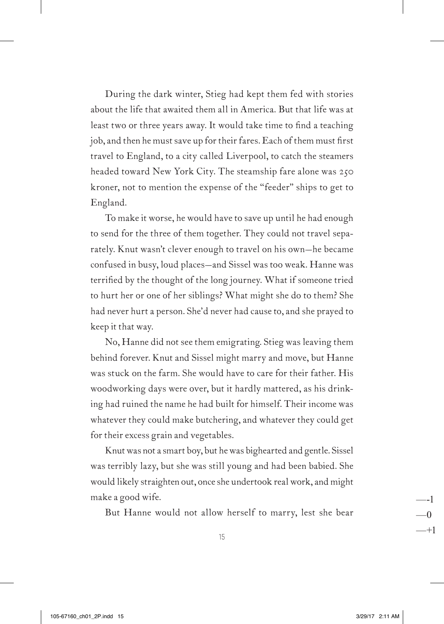During the dark winter, Stieg had kept them fed with stories about the life that awaited them all in America. But that life was at least two or three years away. It would take time to find a teaching job, and then he must save up for their fares. Each of them must first travel to England, to a city called Liverpool, to catch the steamers headed toward New York City. The steamship fare alone was 250 kroner, not to mention the expense of the "feeder" ships to get to England.

To make it worse, he would have to save up until he had enough to send for the three of them together. They could not travel separately. Knut wasn't clever enough to travel on his own—he became confused in busy, loud places—and Sissel was too weak. Hanne was terrified by the thought of the long journey. What if someone tried to hurt her or one of her siblings? What might she do to them? She had never hurt a person. She'd never had cause to, and she prayed to keep it that way.

No, Hanne did not see them emigrating. Stieg was leaving them behind forever. Knut and Sissel might marry and move, but Hanne was stuck on the farm. She would have to care for their father. His woodworking days were over, but it hardly mattered, as his drinking had ruined the name he had built for himself. Their income was whatever they could make butchering, and whatever they could get for their excess grain and vegetables.

Knut was not a smart boy, but he was bighearted and gentle. Sissel was terribly lazy, but she was still young and had been babied. She would likely straighten out, once she undertook real work, and might make a good wife.

But Hanne would not allow herself to marry, lest she bear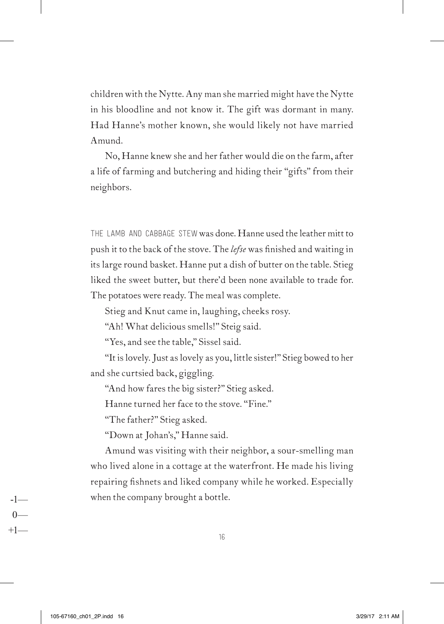children with the Nytte. Any man she married might have the Nytte in his bloodline and not know it. The gift was dormant in many. Had Hanne's mother known, she would likely not have married Amund.

No, Hanne knew she and her father would die on the farm, after a life of farming and butchering and hiding their "gifts" from their neighbors.

The lamb and cabbage stew was done. Hanne used the leather mitt to push it to the back of the stove. The *lefse* was finished and waiting in its large round basket. Hanne put a dish of butter on the table. Stieg liked the sweet butter, but there'd been none available to trade for. The potatoes were ready. The meal was complete.

Stieg and Knut came in, laughing, cheeks rosy.

"Ah! What delicious smells!" Steig said.

"Yes, and see the table," Sissel said.

"It is lovely. Just as lovely as you, little sister!" Stieg bowed to her and she curtsied back, giggling.

"And how fares the big sister?" Stieg asked.

Hanne turned her face to the stove. "Fine."

"The father?" Stieg asked.

"Down at Johan's," Hanne said.

Amund was visiting with their neighbor, a sour-smelling man who lived alone in a cottage at the waterfront. He made his living repairing fishnets and liked company while he worked. Especially when the company brought a bottle.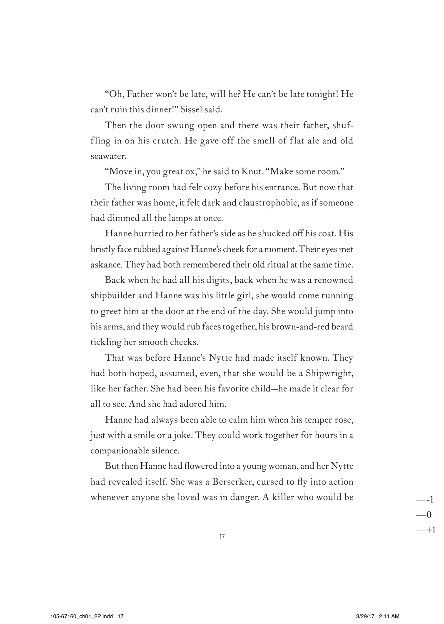"Oh, Father won't be late, will he? He can't be late tonight! He can't ruin this dinner!" Sissel said.

Then the door swung open and there was their father, shuffling in on his crutch. He gave off the smell of flat ale and old seawater.

"Move in, you great ox," he said to Knut. "Make some room."

The living room had felt cozy before his entrance. But now that their father was home, it felt dark and claustrophobic, as if someone had dimmed all the lamps at once.

Hanne hurried to her father's side as he shucked off his coat. His bristly face rubbed against Hanne's cheek for a moment. Their eyes met askance. They had both remembered their old ritual at the same time.

Back when he had all his digits, back when he was a renowned shipbuilder and Hanne was his little girl, she would come running to greet him at the door at the end of the day. She would jump into his arms, and they would rub faces together, his brown-and-red beard tickling her smooth cheeks.

That was before Hanne's Nytte had made itself known. They had both hoped, assumed, even, that she would be a Shipwright, like her father. She had been his favorite child—he made it clear for all to see. And she had adored him.

Hanne had always been able to calm him when his temper rose, just with a smile or a joke. They could work together for hours in a companionable silence.

But then Hanne had flowered into a young woman, and her Nytte had revealed itself. She was a Berserker, cursed to fly into action whenever anyone she loved was in danger. A killer who would be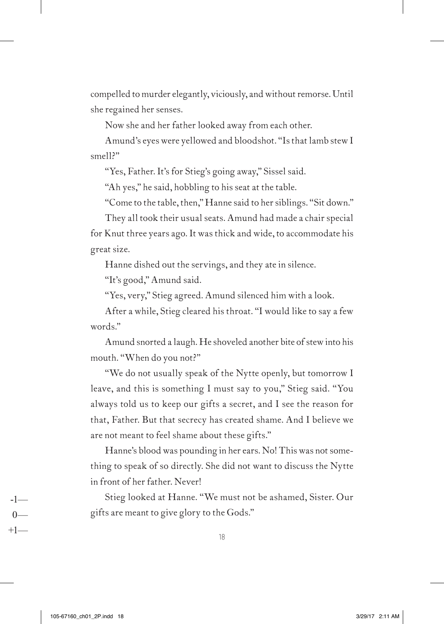compelled to murder elegantly, viciously, and without remorse. Until she regained her senses.

Now she and her father looked away from each other.

Amund's eyes were yellowed and bloodshot. "Is that lamb stew I smell?"

"Yes, Father. It's for Stieg's going away," Sissel said.

"Ah yes," he said, hobbling to his seat at the table.

"Come to the table, then," Hanne said to her siblings. "Sit down."

They all took their usual seats. Amund had made a chair special for Knut three years ago. It was thick and wide, to accommodate his great size.

Hanne dished out the servings, and they ate in silence.

"It's good," Amund said.

"Yes, very," Stieg agreed. Amund silenced him with a look.

After a while, Stieg cleared his throat. "I would like to say a few words."

Amund snorted a laugh. He shoveled another bite of stew into his mouth. "When do you not?"

"We do not usually speak of the Nytte openly, but tomorrow I leave, and this is something I must say to you," Stieg said. "You always told us to keep our gifts a secret, and I see the reason for that, Father. But that secrecy has created shame. And I believe we are not meant to feel shame about these gifts."

Hanne's blood was pounding in her ears. No! This was not something to speak of so directly. She did not want to discuss the Nytte in front of her father. Never!

Stieg looked at Hanne. "We must not be ashamed, Sister. Our gifts are meant to give glory to the Gods."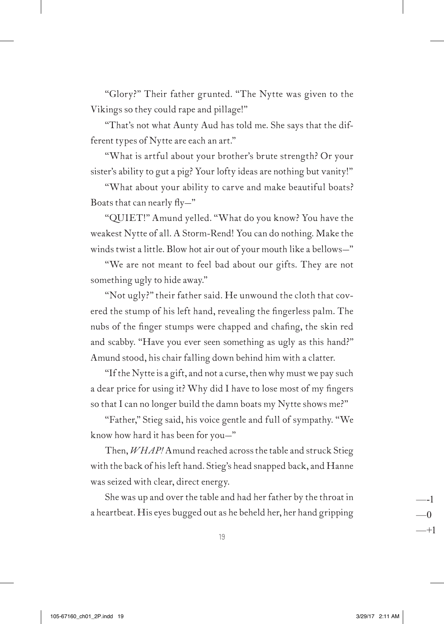"Glory?" Their father grunted. "The Nytte was given to the Vikings so they could rape and pillage!"

"That's not what Aunty Aud has told me. She says that the different types of Nytte are each an art."

"What is artful about your brother's brute strength? Or your sister's ability to gut a pig? Your lofty ideas are nothing but vanity!"

"What about your ability to carve and make beautiful boats? Boats that can nearly fly—"

"QUIET!" Amund yelled. "What do you know? You have the weakest Nytte of all. A Storm-Rend! You can do nothing. Make the winds twist a little. Blow hot air out of your mouth like a bellows—"

"We are not meant to feel bad about our gifts. They are not something ugly to hide away."

"Not ugly?" their father said. He unwound the cloth that covered the stump of his left hand, revealing the fingerless palm. The nubs of the finger stumps were chapped and chafing, the skin red and scabby. "Have you ever seen something as ugly as this hand?" Amund stood, his chair falling down behind him with a clatter.

"If the Nytte is a gift, and not a curse, then why must we pay such a dear price for using it? Why did I have to lose most of my fingers so that I can no longer build the damn boats my Nytte shows me?"

"Father," Stieg said, his voice gentle and full of sympathy. "We know how hard it has been for you—"

Then, *WHAP!* Amund reached across the table and struck Stieg with the back of his left hand. Stieg's head snapped back, and Hanne was seized with clear, direct energy.

She was up and over the table and had her father by the throat in a heartbeat. His eyes bugged out as he beheld her, her hand gripping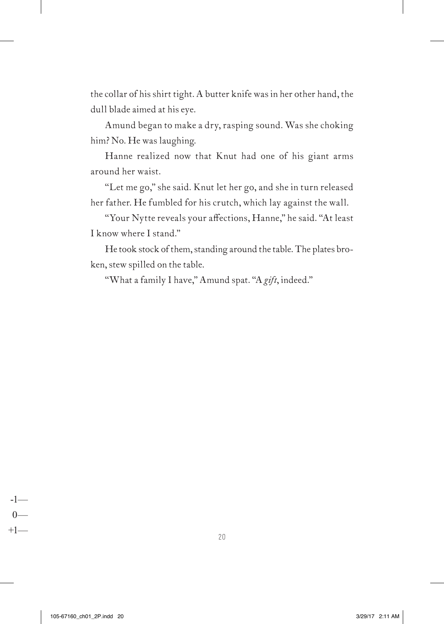the collar of his shirt tight. A butter knife was in her other hand, the dull blade aimed at his eye.

Amund began to make a dry, rasping sound. Was she choking him? No. He was laughing.

Hanne realized now that Knut had one of his giant arms around her waist.

"Let me go," she said. Knut let her go, and she in turn released her father. He fumbled for his crutch, which lay against the wall.

"Your Nytte reveals your affections, Hanne," he said. "At least I know where I stand."

He took stock of them, standing around the table. The plates broken, stew spilled on the table.

"What a family I have," Amund spat. "A *gift*, indeed."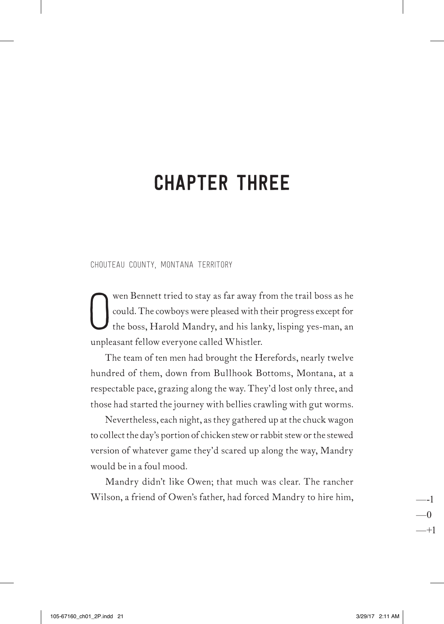## CHAPTER THREE

Chouteau County, Montana Territory

 $\sum_{n=1}^{\infty}$ wen Bennett tried to stay as far away from the trail boss as he could. The cowboys were pleased with their progress except for the boss, Harold Mandry, and his lanky, lisping yes-man, an unpleasant fellow everyone called Whistler.

The team of ten men had brought the Herefords, nearly twelve hundred of them, down from Bullhook Bottoms, Montana, at a respectable pace, grazing along the way. They'd lost only three, and those had started the journey with bellies crawling with gut worms.

Nevertheless, each night, as they gathered up at the chuck wagon to collect the day's portion of chicken stew or rabbit stew or the stewed version of whatever game they'd scared up along the way, Mandry would be in a foul mood.

Mandry didn't like Owen; that much was clear. The rancher Wilson, a friend of Owen's father, had forced Mandry to hire him,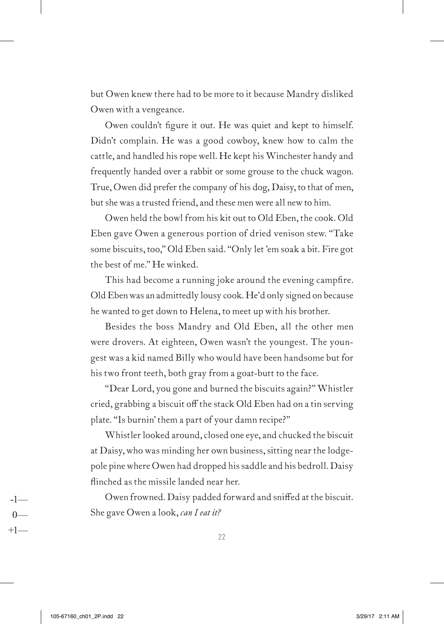but Owen knew there had to be more to it because Mandry disliked Owen with a vengeance.

Owen couldn't figure it out. He was quiet and kept to himself. Didn't complain. He was a good cowboy, knew how to calm the cattle, and handled his rope well. He kept his Winchester handy and frequently handed over a rabbit or some grouse to the chuck wagon. True, Owen did prefer the company of his dog, Daisy, to that of men, but she was a trusted friend, and these men were all new to him.

Owen held the bowl from his kit out to Old Eben, the cook. Old Eben gave Owen a generous portion of dried venison stew. "Take some biscuits, too," Old Eben said. "Only let 'em soak a bit. Fire got the best of me." He winked.

This had become a running joke around the evening campfire. Old Eben was an admittedly lousy cook. He'd only signed on because he wanted to get down to Helena, to meet up with his brother.

Besides the boss Mandry and Old Eben, all the other men were drovers. At eighteen, Owen wasn't the youngest. The youngest was a kid named Billy who would have been handsome but for his two front teeth, both gray from a goat-butt to the face.

"Dear Lord, you gone and burned the biscuits again?" Whistler cried, grabbing a biscuit off the stack Old Eben had on a tin serving plate. "Is burnin' them a part of your damn recipe?"

Whistler looked around, closed one eye, and chucked the biscuit at Daisy, who was minding her own business, sitting near the lodgepole pine where Owen had dropped his saddle and his bedroll. Daisy flinched as the missile landed near her.

Owen frowned. Daisy padded forward and sniffed at the biscuit. She gave Owen a look, *can I eat it?*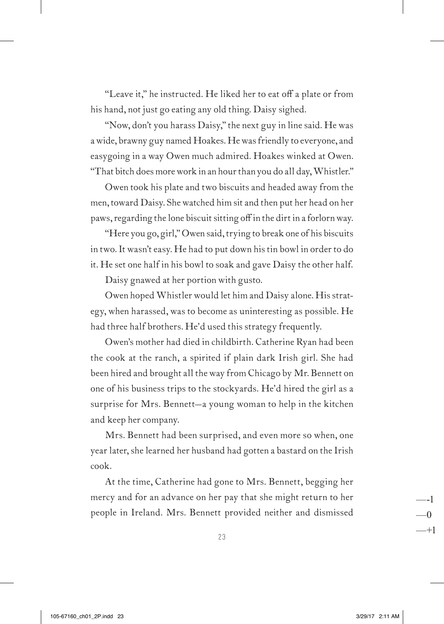"Leave it," he instructed. He liked her to eat off a plate or from his hand, not just go eating any old thing. Daisy sighed.

"Now, don't you harass Daisy," the next guy in line said. He was a wide, brawny guy named Hoakes. He was friendly to everyone, and easygoing in a way Owen much admired. Hoakes winked at Owen. "That bitch does more work in an hour than you do all day, Whistler."

Owen took his plate and two biscuits and headed away from the men, toward Daisy. She watched him sit and then put her head on her paws, regarding the lone biscuit sitting off in the dirt in a forlorn way.

"Here you go, girl," Owen said, trying to break one of his biscuits in two. It wasn't easy. He had to put down his tin bowl in order to do it. He set one half in his bowl to soak and gave Daisy the other half.

Daisy gnawed at her portion with gusto.

Owen hoped Whistler would let him and Daisy alone. His strategy, when harassed, was to become as uninteresting as possible. He had three half brothers. He'd used this strategy frequently.

Owen's mother had died in childbirth. Catherine Ryan had been the cook at the ranch, a spirited if plain dark Irish girl. She had been hired and brought all the way from Chicago by Mr. Bennett on one of his business trips to the stockyards. He'd hired the girl as a surprise for Mrs. Bennett—a young woman to help in the kitchen and keep her company.

Mrs. Bennett had been surprised, and even more so when, one year later, she learned her husband had gotten a bastard on the Irish cook.

At the time, Catherine had gone to Mrs. Bennett, begging her mercy and for an advance on her pay that she might return to her people in Ireland. Mrs. Bennett provided neither and dismissed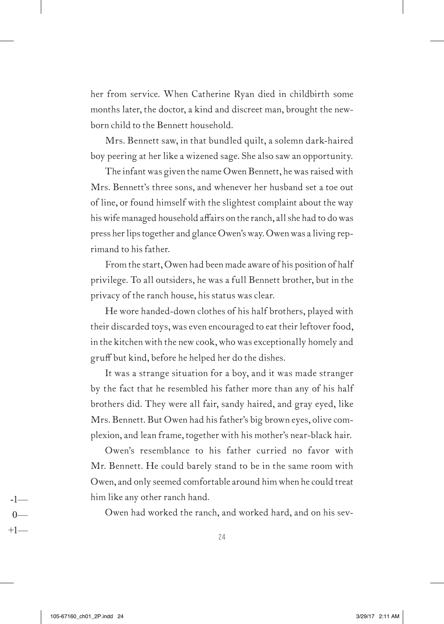her from service. When Catherine Ryan died in childbirth some months later, the doctor, a kind and discreet man, brought the newborn child to the Bennett household.

Mrs. Bennett saw, in that bundled quilt, a solemn dark-haired boy peering at her like a wizened sage. She also saw an opportunity.

The infant was given the name Owen Bennett, he was raised with Mrs. Bennett's three sons, and whenever her husband set a toe out of line, or found himself with the slightest complaint about the way his wife managed household affairs on the ranch, all she had to do was press her lips together and glance Owen's way. Owen was a living reprimand to his father.

From the start, Owen had been made aware of his position of half privilege. To all outsiders, he was a full Bennett brother, but in the privacy of the ranch house, his status was clear.

He wore handed-down clothes of his half brothers, played with their discarded toys, was even encouraged to eat their leftover food, in the kitchen with the new cook, who was exceptionally homely and gruff but kind, before he helped her do the dishes.

It was a strange situation for a boy, and it was made stranger by the fact that he resembled his father more than any of his half brothers did. They were all fair, sandy haired, and gray eyed, like Mrs. Bennett. But Owen had his father's big brown eyes, olive complexion, and lean frame, together with his mother's near-black hair.

Owen's resemblance to his father curried no favor with Mr. Bennett. He could barely stand to be in the same room with Owen, and only seemed comfortable around him when he could treat him like any other ranch hand.

Owen had worked the ranch, and worked hard, and on his sev-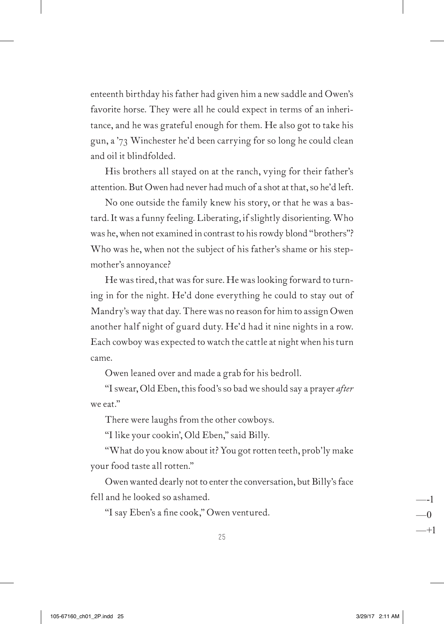enteenth birthday his father had given him a new saddle and Owen's favorite horse. They were all he could expect in terms of an inheritance, and he was grateful enough for them. He also got to take his gun, a '73 Winchester he'd been carrying for so long he could clean and oil it blindfolded.

His brothers all stayed on at the ranch, vying for their father's attention. But Owen had never had much of a shot at that, so he'd left.

No one outside the family knew his story, or that he was a bastard. It was a funny feeling. Liberating, if slightly disorienting. Who was he, when not examined in contrast to his rowdy blond "brothers"? Who was he, when not the subject of his father's shame or his stepmother's annoyance?

He was tired, that was for sure. He was looking forward to turning in for the night. He'd done everything he could to stay out of Mandry's way that day. There was no reason for him to assign Owen another half night of guard duty. He'd had it nine nights in a row. Each cowboy was expected to watch the cattle at night when his turn came.

Owen leaned over and made a grab for his bedroll.

"I swear, Old Eben, this food's so bad we should say a prayer *after* we eat."

There were laughs from the other cowboys.

"I like your cookin', Old Eben," said Billy.

"What do you know about it? You got rotten teeth, prob'ly make your food taste all rotten."

Owen wanted dearly not to enter the conversation, but Billy's face fell and he looked so ashamed.

"I say Eben's a fine cook," Owen ventured.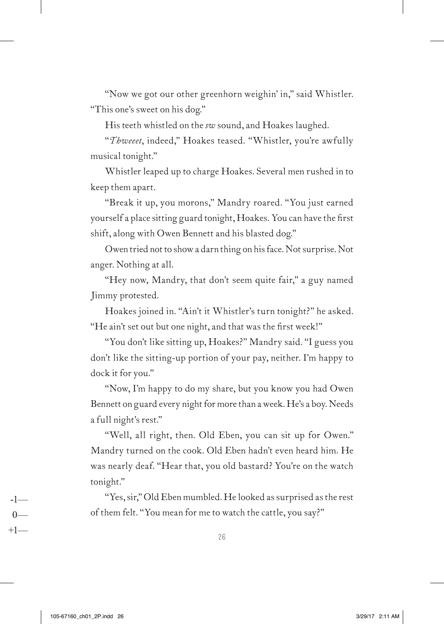"Now we got our other greenhorn weighin' in," said Whistler. "This one's sweet on his dog."

His teeth whistled on the *sw* sound, and Hoakes laughed.

"*Thweeet*, indeed," Hoakes teased. "Whistler, you're awfully musical tonight."

Whistler leaped up to charge Hoakes. Several men rushed in to keep them apart.

"Break it up, you morons," Mandry roared. "You just earned yourself a place sitting guard tonight, Hoakes. You can have the first shift, along with Owen Bennett and his blasted dog."

Owen tried not to show a darn thing on his face. Not surprise. Not anger. Nothing at all.

"Hey now, Mandry, that don't seem quite fair," a guy named Jimmy protested.

Hoakes joined in. "Ain't it Whistler's turn tonight?" he asked. "He ain't set out but one night, and that was the first week!"

"You don't like sitting up, Hoakes?" Mandry said. "I guess you don't like the sitting-up portion of your pay, neither. I'm happy to dock it for you."

"Now, I'm happy to do my share, but you know you had Owen Bennett on guard every night for more than a week. He's a boy. Needs a full night's rest."

"Well, all right, then. Old Eben, you can sit up for Owen." Mandry turned on the cook. Old Eben hadn't even heard him. He was nearly deaf. "Hear that, you old bastard? You're on the watch tonight."

"Yes, sir," Old Eben mumbled. He looked as surprised as the rest of them felt. "You mean for me to watch the cattle, you say?"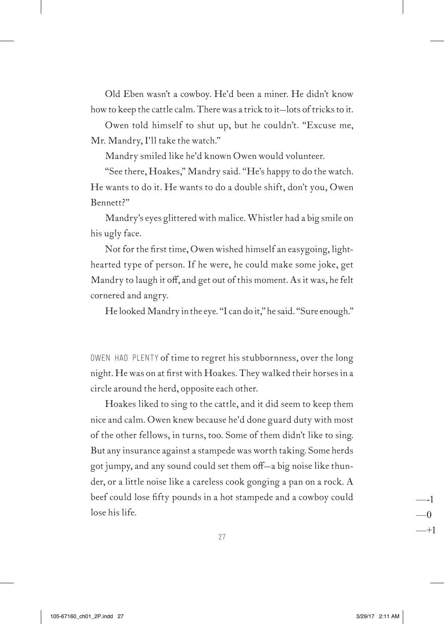Old Eben wasn't a cowboy. He'd been a miner. He didn't know how to keep the cattle calm. There was a trick to it—lots of tricks to it.

Owen told himself to shut up, but he couldn't. "Excuse me, Mr. Mandry, I'll take the watch."

Mandry smiled like he'd known Owen would volunteer.

"See there, Hoakes," Mandry said. "He's happy to do the watch. He wants to do it. He wants to do a double shift, don't you, Owen Bennett?"

Mandry's eyes glittered with malice. Whistler had a big smile on his ugly face.

Not for the first time, Owen wished himself an easygoing, lighthearted type of person. If he were, he could make some joke, get Mandry to laugh it off, and get out of this moment. As it was, he felt cornered and angry.

He looked Mandry in the eye. "I can do it," he said. "Sure enough."

Owen had plenty of time to regret his stubbornness, over the long night. He was on at first with Hoakes. They walked their horses in a circle around the herd, opposite each other.

Hoakes liked to sing to the cattle, and it did seem to keep them nice and calm. Owen knew because he'd done guard duty with most of the other fellows, in turns, too. Some of them didn't like to sing. But any insurance against a stampede was worth taking. Some herds got jumpy, and any sound could set them off—a big noise like thunder, or a little noise like a careless cook gonging a pan on a rock. A beef could lose fifty pounds in a hot stampede and a cowboy could lose his life.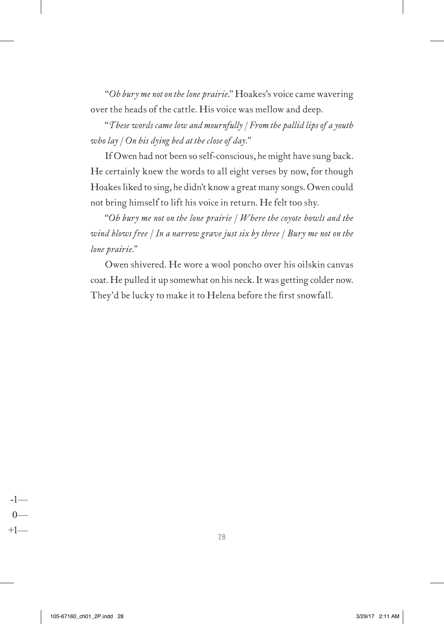"*Oh bury me not on the lone prairie*." Hoakes's voice came wavering over the heads of the cattle. His voice was mellow and deep.

*"These words came low and mournfully / From the pallid lips of a youth who lay / On his dying bed at the close of day."*

If Owen had not been so self-conscious, he might have sung back. He certainly knew the words to all eight verses by now, for though Hoakes liked to sing, he didn't know a great many songs. Owen could not bring himself to lift his voice in return. He felt too shy.

*"Oh bury me not on the lone prairie / Where the coyote howls and the wind blows free / In a narrow grave just six by three / Bury me not on the lone prairie."*

Owen shivered. He wore a wool poncho over his oilskin canvas coat. He pulled it up somewhat on his neck. It was getting colder now. They'd be lucky to make it to Helena before the first snowfall.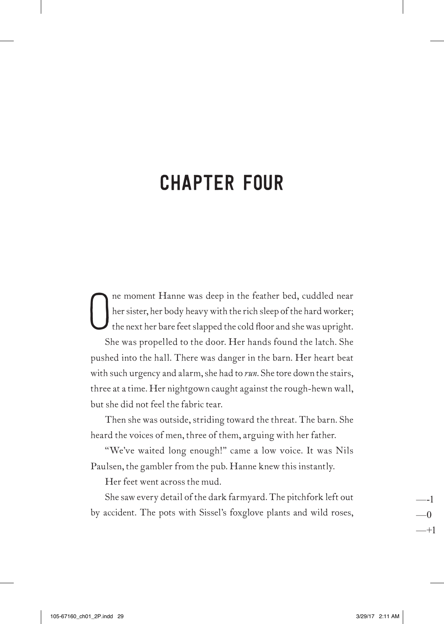#### CHAPTER FOUR

 $\int_{\mathbb{R}}$ ne moment Hanne was deep in the feather bed, cuddled near her sister, her body heavy with the rich sleep of the hard worker; the next her bare feet slapped the cold floor and she was upright. She was propelled to the door. Her hands found the latch. She pushed into the hall. There was danger in the barn. Her heart beat with such urgency and alarm, she had to *run*. She tore down the stairs, three at a time. Her nightgown caught against the rough-hewn wall, but she did not feel the fabric tear.

Then she was outside, striding toward the threat. The barn. She heard the voices of men, three of them, arguing with her father.

"We've waited long enough!" came a low voice. It was Nils Paulsen, the gambler from the pub. Hanne knew this instantly.

Her feet went across the mud.

She saw every detail of the dark farmyard. The pitchfork left out by accident. The pots with Sissel's foxglove plants and wild roses,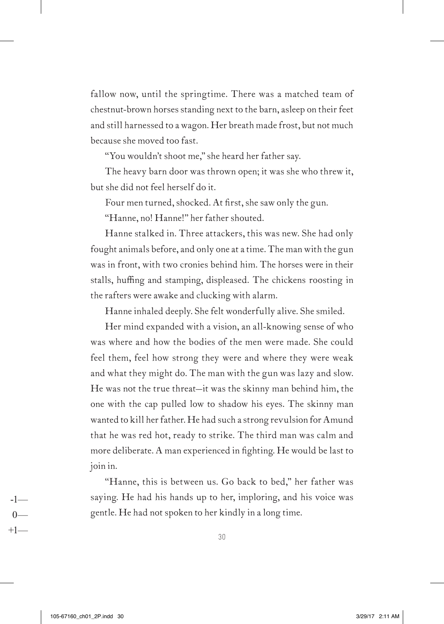fallow now, until the springtime. There was a matched team of chestnut-brown horses standing next to the barn, asleep on their feet and still harnessed to a wagon. Her breath made frost, but not much because she moved too fast.

"You wouldn't shoot me," she heard her father say.

The heavy barn door was thrown open; it was she who threw it, but she did not feel herself do it.

Four men turned, shocked. At first, she saw only the gun.

"Hanne, no! Hanne!" her father shouted.

Hanne stalked in. Three attackers, this was new. She had only fought animals before, and only one at a time. The man with the gun was in front, with two cronies behind him. The horses were in their stalls, huffing and stamping, displeased. The chickens roosting in the rafters were awake and clucking with alarm.

Hanne inhaled deeply. She felt wonderfully alive. She smiled.

Her mind expanded with a vision, an all-knowing sense of who was where and how the bodies of the men were made. She could feel them, feel how strong they were and where they were weak and what they might do. The man with the gun was lazy and slow. He was not the true threat—it was the skinny man behind him, the one with the cap pulled low to shadow his eyes. The skinny man wanted to kill her father. He had such a strong revulsion for Amund that he was red hot, ready to strike. The third man was calm and more deliberate. A man experienced in fighting. He would be last to join in.

"Hanne, this is between us. Go back to bed," her father was saying. He had his hands up to her, imploring, and his voice was gentle. He had not spoken to her kindly in a long time.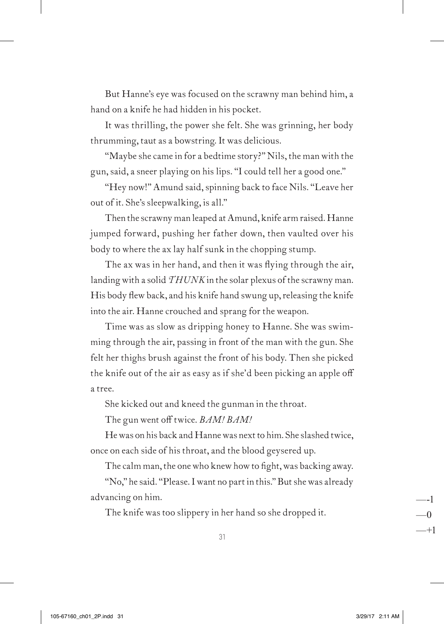But Hanne's eye was focused on the scrawny man behind him, a hand on a knife he had hidden in his pocket.

It was thrilling, the power she felt. She was grinning, her body thrumming, taut as a bowstring. It was delicious.

"Maybe she came in for a bedtime story?" Nils, the man with the gun, said, a sneer playing on his lips. "I could tell her a good one."

"Hey now!" Amund said, spinning back to face Nils. "Leave her out of it. She's sleepwalking, is all."

Then the scrawny man leaped at Amund, knife arm raised. Hanne jumped forward, pushing her father down, then vaulted over his body to where the ax lay half sunk in the chopping stump.

The ax was in her hand, and then it was flying through the air, landing with a solid *THUNK* in the solar plexus of the scrawny man. His body flew back, and his knife hand swung up, releasing the knife into the air. Hanne crouched and sprang for the weapon.

Time was as slow as dripping honey to Hanne. She was swimming through the air, passing in front of the man with the gun. She felt her thighs brush against the front of his body. Then she picked the knife out of the air as easy as if she'd been picking an apple off a tree.

She kicked out and kneed the gunman in the throat.

The gun went off twice. *BAM! BAM!*

He was on his back and Hanne was next to him. She slashed twice, once on each side of his throat, and the blood geysered up.

The calm man, the one who knew how to fight, was backing away.

"No," he said. "Please. I want no part in this." But she was already advancing on him.

The knife was too slippery in her hand so she dropped it.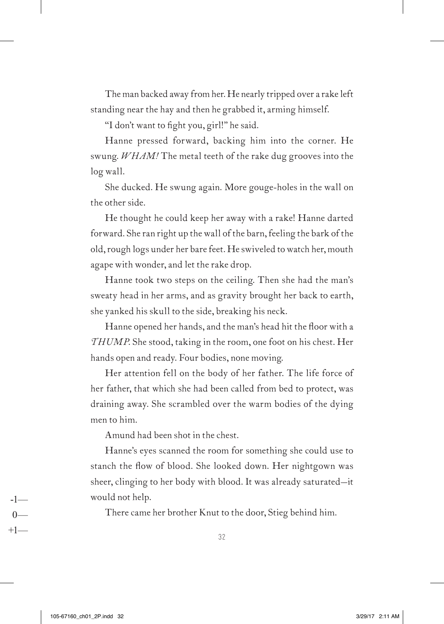The man backed away from her. He nearly tripped over a rake left standing near the hay and then he grabbed it, arming himself.

"I don't want to fight you, girl!" he said.

Hanne pressed forward, backing him into the corner. He swung. *WHAM!* The metal teeth of the rake dug grooves into the log wall.

She ducked. He swung again. More gouge-holes in the wall on the other side.

He thought he could keep her away with a rake! Hanne darted forward. She ran right up the wall of the barn, feeling the bark of the old, rough logs under her bare feet. He swiveled to watch her, mouth agape with wonder, and let the rake drop.

Hanne took two steps on the ceiling. Then she had the man's sweaty head in her arms, and as gravity brought her back to earth, she yanked his skull to the side, breaking his neck.

Hanne opened her hands, and the man's head hit the floor with a *THUMP*. She stood, taking in the room, one foot on his chest. Her hands open and ready. Four bodies, none moving.

Her attention fell on the body of her father. The life force of her father, that which she had been called from bed to protect, was draining away. She scrambled over the warm bodies of the dying men to him.

Amund had been shot in the chest.

Hanne's eyes scanned the room for something she could use to stanch the flow of blood. She looked down. Her nightgown was sheer, clinging to her body with blood. It was already saturated—it would not help.

There came her brother Knut to the door, Stieg behind him.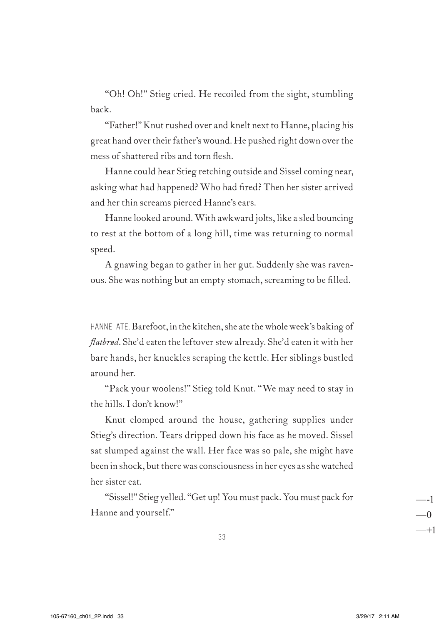"Oh! Oh!" Stieg cried. He recoiled from the sight, stumbling back.

"Father!" Knut rushed over and knelt next to Hanne, placing his great hand over their father's wound. He pushed right down over the mess of shattered ribs and torn flesh.

Hanne could hear Stieg retching outside and Sissel coming near, asking what had happened? Who had fired? Then her sister arrived and her thin screams pierced Hanne's ears.

Hanne looked around. With awkward jolts, like a sled bouncing to rest at the bottom of a long hill, time was returning to normal speed.

A gnawing began to gather in her gut. Suddenly she was ravenous. She was nothing but an empty stomach, screaming to be filled.

HANNE ATE. Barefoot, in the kitchen, she ate the whole week's baking of *flatbrød*. She'd eaten the leftover stew already. She'd eaten it with her bare hands, her knuckles scraping the kettle. Her siblings bustled around her.

"Pack your woolens!" Stieg told Knut. "We may need to stay in the hills. I don't know!"

Knut clomped around the house, gathering supplies under Stieg's direction. Tears dripped down his face as he moved. Sissel sat slumped against the wall. Her face was so pale, she might have been in shock, but there was consciousness in her eyes as she watched her sister eat.

"Sissel!" Stieg yelled. "Get up! You must pack. You must pack for Hanne and yourself."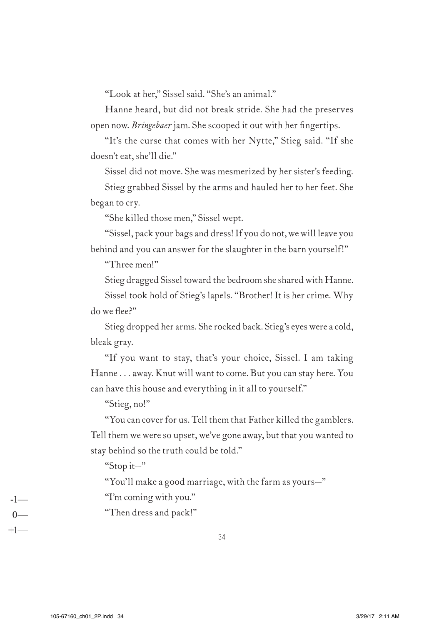"Look at her," Sissel said. "She's an animal."

Hanne heard, but did not break stride. She had the preserves open now. *Bringebaer* jam. She scooped it out with her fingertips.

"It's the curse that comes with her Nytte," Stieg said. "If she doesn't eat, she'll die."

Sissel did not move. She was mesmerized by her sister's feeding.

Stieg grabbed Sissel by the arms and hauled her to her feet. She began to cry.

"She killed those men," Sissel wept.

"Sissel, pack your bags and dress! If you do not, we will leave you behind and you can answer for the slaughter in the barn yourself!"

"Three men!"

Stieg dragged Sissel toward the bedroom she shared with Hanne.

Sissel took hold of Stieg's lapels. "Brother! It is her crime. Why do we flee?"

Stieg dropped her arms. She rocked back. Stieg's eyes were a cold, bleak gray.

"If you want to stay, that's your choice, Sissel. I am taking Hanne . . . away. Knut will want to come. But you can stay here. You can have this house and everything in it all to yourself."

"Stieg, no!"

"You can cover for us. Tell them that Father killed the gamblers. Tell them we were so upset, we've gone away, but that you wanted to stay behind so the truth could be told."

"Stop it—"

"You'll make a good marriage, with the farm as yours—"

"I'm coming with you."

"Then dress and pack!"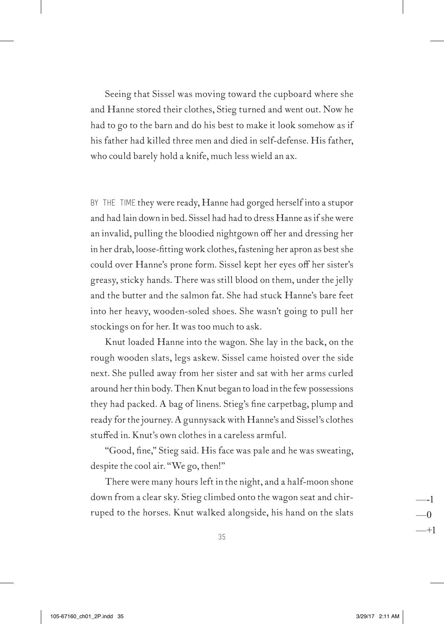Seeing that Sissel was moving toward the cupboard where she and Hanne stored their clothes, Stieg turned and went out. Now he had to go to the barn and do his best to make it look somehow as if his father had killed three men and died in self-defense. His father, who could barely hold a knife, much less wield an ax.

BY THE TIME they were ready, Hanne had gorged herself into a stupor and had lain down in bed. Sissel had had to dress Hanne as if she were an invalid, pulling the bloodied nightgown off her and dressing her in her drab, loose-fitting work clothes, fastening her apron as best she could over Hanne's prone form. Sissel kept her eyes off her sister's greasy, sticky hands. There was still blood on them, under the jelly and the butter and the salmon fat. She had stuck Hanne's bare feet into her heavy, wooden-soled shoes. She wasn't going to pull her stockings on for her. It was too much to ask.

Knut loaded Hanne into the wagon. She lay in the back, on the rough wooden slats, legs askew. Sissel came hoisted over the side next. She pulled away from her sister and sat with her arms curled around her thin body. Then Knut began to load in the few possessions they had packed. A bag of linens. Stieg's fine carpetbag, plump and ready for the journey. A gunnysack with Hanne's and Sissel's clothes stuffed in. Knut's own clothes in a careless armful.

"Good, fine," Stieg said. His face was pale and he was sweating, despite the cool air. "We go, then!"

There were many hours left in the night, and a half-moon shone down from a clear sky. Stieg climbed onto the wagon seat and chirruped to the horses. Knut walked alongside, his hand on the slats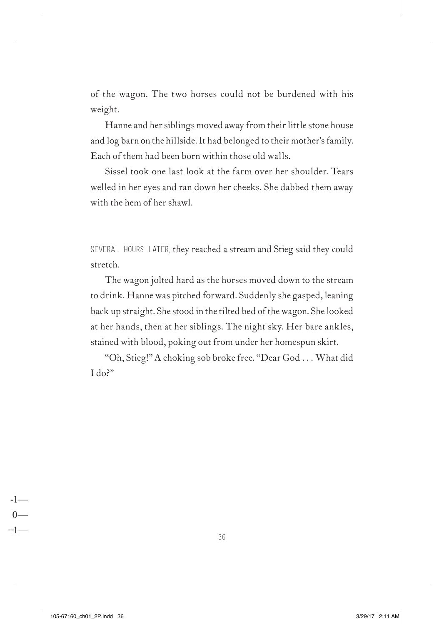of the wagon. The two horses could not be burdened with his weight.

Hanne and her siblings moved away from their little stone house and log barn on the hillside. It had belonged to their mother's family. Each of them had been born within those old walls.

Sissel took one last look at the farm over her shoulder. Tears welled in her eyes and ran down her cheeks. She dabbed them away with the hem of her shawl.

SEVERAL HOURS LATER, they reached a stream and Stieg said they could stretch.

The wagon jolted hard as the horses moved down to the stream to drink. Hanne was pitched forward. Suddenly she gasped, leaning back up straight. She stood in the tilted bed of the wagon. She looked at her hands, then at her siblings. The night sky. Her bare ankles, stained with blood, poking out from under her homespun skirt.

"Oh, Stieg!" A choking sob broke free. "Dear God . . . What did I do?"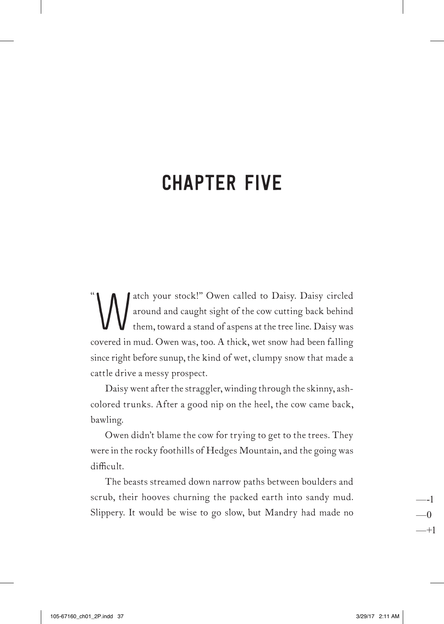## CHAPTER FIVE

 $\ddot{\phantom{0}}$ A atch your stock!" Owen called to Daisy. Daisy circled<br>around and caught sight of the cow cutting back behind<br>them, toward a stand of aspens at the tree line. Daisy was around and caught sight of the cow cutting back behind them, toward a stand of aspens at the tree line. Daisy was covered in mud. Owen was, too. A thick, wet snow had been falling since right before sunup, the kind of wet, clumpy snow that made a cattle drive a messy prospect.

Daisy went after the straggler, winding through the skinny, ashcolored trunks. After a good nip on the heel, the cow came back, bawling.

Owen didn't blame the cow for trying to get to the trees. They were in the rocky foothills of Hedges Mountain, and the going was difficult.

The beasts streamed down narrow paths between boulders and scrub, their hooves churning the packed earth into sandy mud. Slippery. It would be wise to go slow, but Mandry had made no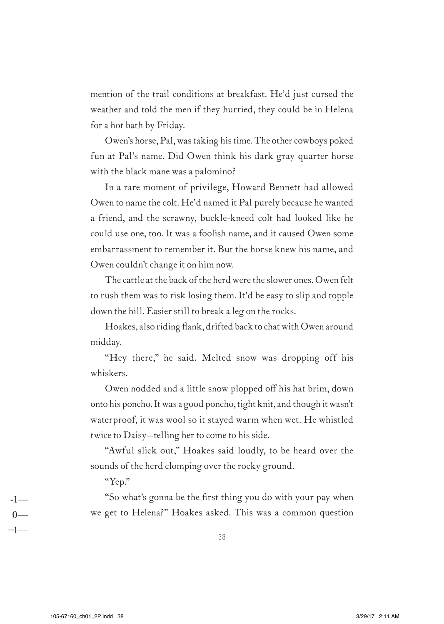mention of the trail conditions at breakfast. He'd just cursed the weather and told the men if they hurried, they could be in Helena for a hot bath by Friday.

Owen's horse, Pal, was taking his time. The other cowboys poked fun at Pal's name. Did Owen think his dark gray quarter horse with the black mane was a palomino?

In a rare moment of privilege, Howard Bennett had allowed Owen to name the colt. He'd named it Pal purely because he wanted a friend, and the scrawny, buckle-kneed colt had looked like he could use one, too. It was a foolish name, and it caused Owen some embarrassment to remember it. But the horse knew his name, and Owen couldn't change it on him now.

The cattle at the back of the herd were the slower ones. Owen felt to rush them was to risk losing them. It'd be easy to slip and topple down the hill. Easier still to break a leg on the rocks.

Hoakes, also riding flank, drifted back to chat with Owen around midday.

"Hey there," he said. Melted snow was dropping off his whiskers.

Owen nodded and a little snow plopped off his hat brim, down onto his poncho. It was a good poncho, tight knit, and though it wasn't waterproof, it was wool so it stayed warm when wet. He whistled twice to Daisy—telling her to come to his side.

"Awful slick out," Hoakes said loudly, to be heard over the sounds of the herd clomping over the rocky ground.

"Yep."

"So what's gonna be the first thing you do with your pay when we get to Helena?" Hoakes asked. This was a common question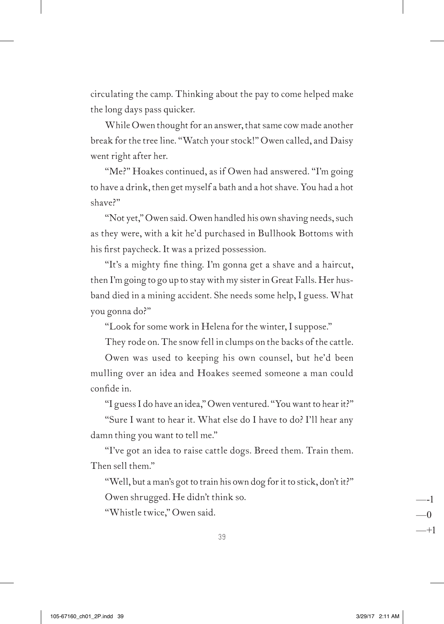circulating the camp. Thinking about the pay to come helped make the long days pass quicker.

While Owen thought for an answer, that same cow made another break for the tree line. "Watch your stock!" Owen called, and Daisy went right after her.

"Me?" Hoakes continued, as if Owen had answered. "I'm going to have a drink, then get myself a bath and a hot shave. You had a hot shave?"

"Not yet," Owen said. Owen handled his own shaving needs, such as they were, with a kit he'd purchased in Bullhook Bottoms with his first paycheck. It was a prized possession.

"It's a mighty fine thing. I'm gonna get a shave and a haircut, then I'm going to go up to stay with my sister in Great Falls. Her husband died in a mining accident. She needs some help, I guess. What you gonna do?"

"Look for some work in Helena for the winter, I suppose."

They rode on. The snow fell in clumps on the backs of the cattle.

Owen was used to keeping his own counsel, but he'd been mulling over an idea and Hoakes seemed someone a man could confide in.

"I guess I do have an idea," Owen ventured. "You want to hear it?"

"Sure I want to hear it. What else do I have to do? I'll hear any damn thing you want to tell me."

"I've got an idea to raise cattle dogs. Breed them. Train them. Then sell them."

"Well, but a man's got to train his own dog for it to stick, don't it?"

Owen shrugged. He didn't think so.

"Whistle twice," Owen said.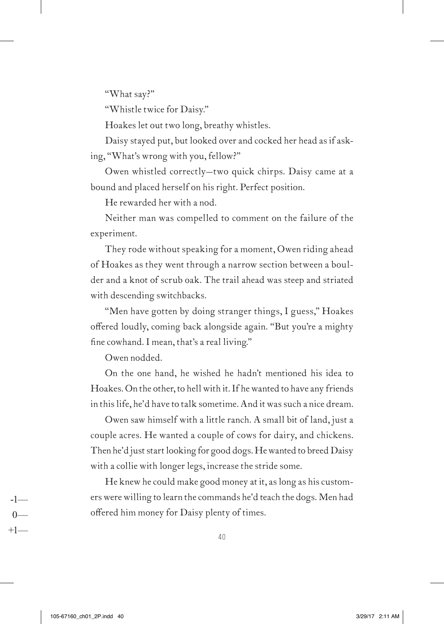"What say?"

"Whistle twice for Daisy."

Hoakes let out two long, breathy whistles.

Daisy stayed put, but looked over and cocked her head as if asking, "What's wrong with you, fellow?"

Owen whistled correctly—two quick chirps. Daisy came at a bound and placed herself on his right. Perfect position.

He rewarded her with a nod.

Neither man was compelled to comment on the failure of the experiment.

They rode without speaking for a moment, Owen riding ahead of Hoakes as they went through a narrow section between a boulder and a knot of scrub oak. The trail ahead was steep and striated with descending switchbacks.

"Men have gotten by doing stranger things, I guess," Hoakes offered loudly, coming back alongside again. "But you're a mighty fine cowhand. I mean, that's a real living."

Owen nodded.

On the one hand, he wished he hadn't mentioned his idea to Hoakes. On the other, to hell with it. If he wanted to have any friends in this life, he'd have to talk sometime. And it was such a nice dream.

Owen saw himself with a little ranch. A small bit of land, just a couple acres. He wanted a couple of cows for dairy, and chickens. Then he'd just start looking for good dogs. He wanted to breed Daisy with a collie with longer legs, increase the stride some.

He knew he could make good money at it, as long as his customers were willing to learn the commands he'd teach the dogs. Men had offered him money for Daisy plenty of times.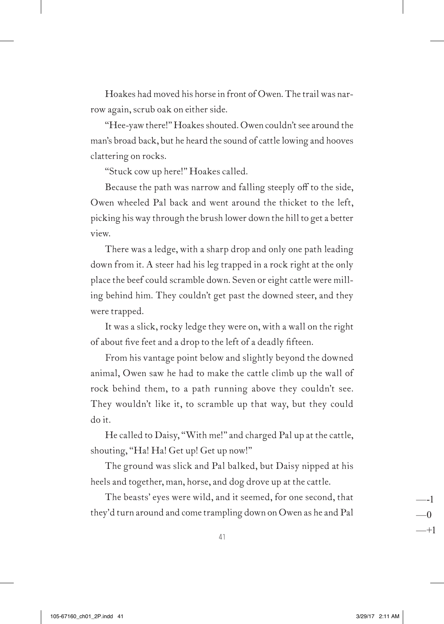Hoakes had moved his horse in front of Owen. The trail was narrow again, scrub oak on either side.

"Hee-yaw there!" Hoakes shouted. Owen couldn't see around the man's broad back, but he heard the sound of cattle lowing and hooves clattering on rocks.

"Stuck cow up here!" Hoakes called.

Because the path was narrow and falling steeply off to the side, Owen wheeled Pal back and went around the thicket to the left, picking his way through the brush lower down the hill to get a better view.

There was a ledge, with a sharp drop and only one path leading down from it. A steer had his leg trapped in a rock right at the only place the beef could scramble down. Seven or eight cattle were milling behind him. They couldn't get past the downed steer, and they were trapped.

It was a slick, rocky ledge they were on, with a wall on the right of about five feet and a drop to the left of a deadly fifteen.

From his vantage point below and slightly beyond the downed animal, Owen saw he had to make the cattle climb up the wall of rock behind them, to a path running above they couldn't see. They wouldn't like it, to scramble up that way, but they could do it.

He called to Daisy, "With me!" and charged Pal up at the cattle, shouting, "Ha! Ha! Get up! Get up now!"

The ground was slick and Pal balked, but Daisy nipped at his heels and together, man, horse, and dog drove up at the cattle.

The beasts' eyes were wild, and it seemed, for one second, that they'd turn around and come trampling down on Owen as he and Pal